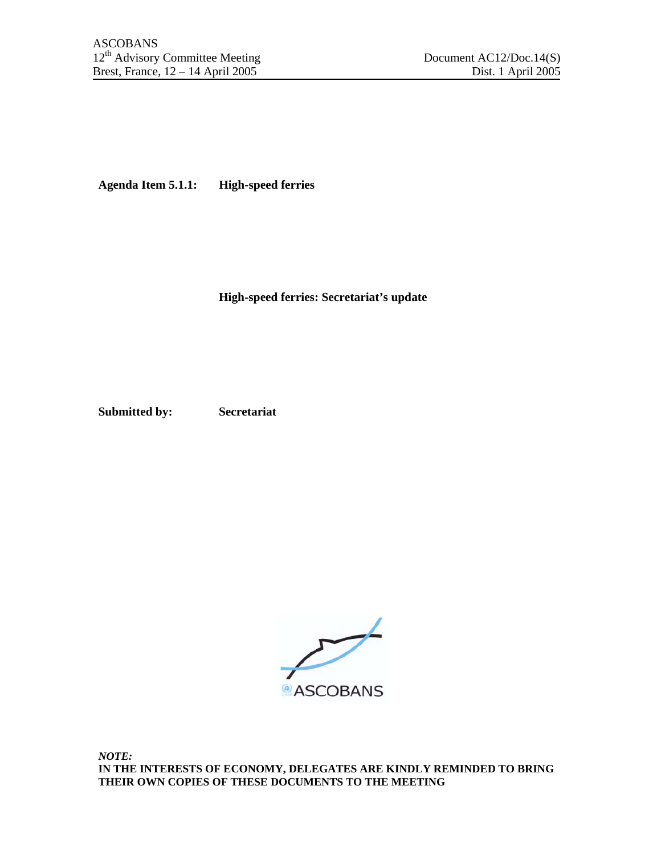**Agenda Item 5.1.1: High-speed ferries** 

**High-speed ferries: Secretariat's update** 

**Submitted by: Secretariat** 



*NOTE:*  **IN THE INTERESTS OF ECONOMY, DELEGATES ARE KINDLY REMINDED TO BRING THEIR OWN COPIES OF THESE DOCUMENTS TO THE MEETING**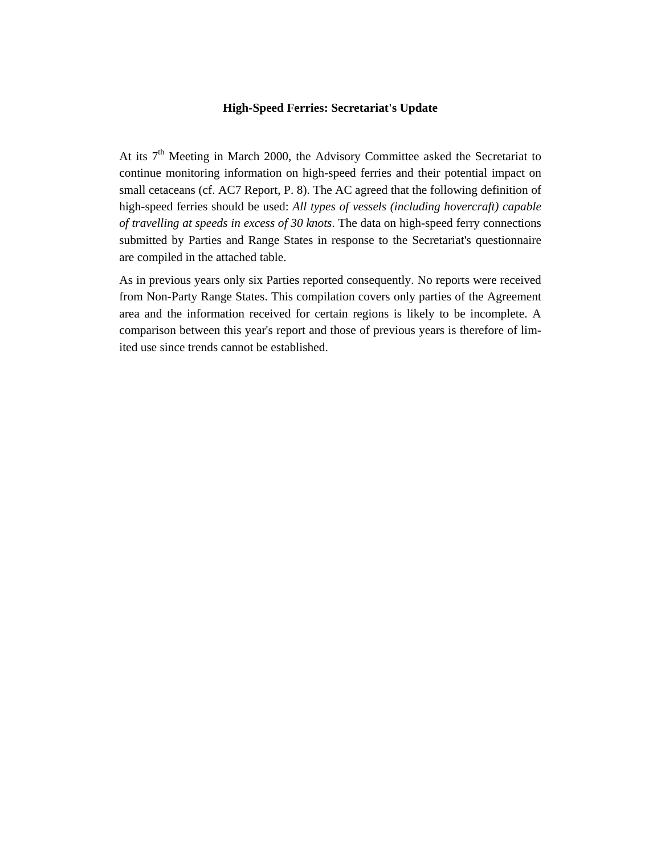## **High-Speed Ferries: Secretariat's Update**

At its  $7<sup>th</sup>$  Meeting in March 2000, the Advisory Committee asked the Secretariat to continue monitoring information on high-speed ferries and their potential impact on small cetaceans (cf. AC7 Report, P. 8). The AC agreed that the following definition of high-speed ferries should be used: *All types of vessels (including hovercraft) capable of travelling at speeds in excess of 30 knots*. The data on high-speed ferry connections submitted by Parties and Range States in response to the Secretariat's questionnaire are compiled in the attached table.

As in previous years only six Parties reported consequently. No reports were received from Non-Party Range States. This compilation covers only parties of the Agreement area and the information received for certain regions is likely to be incomplete. A comparison between this year's report and those of previous years is therefore of limited use since trends cannot be established.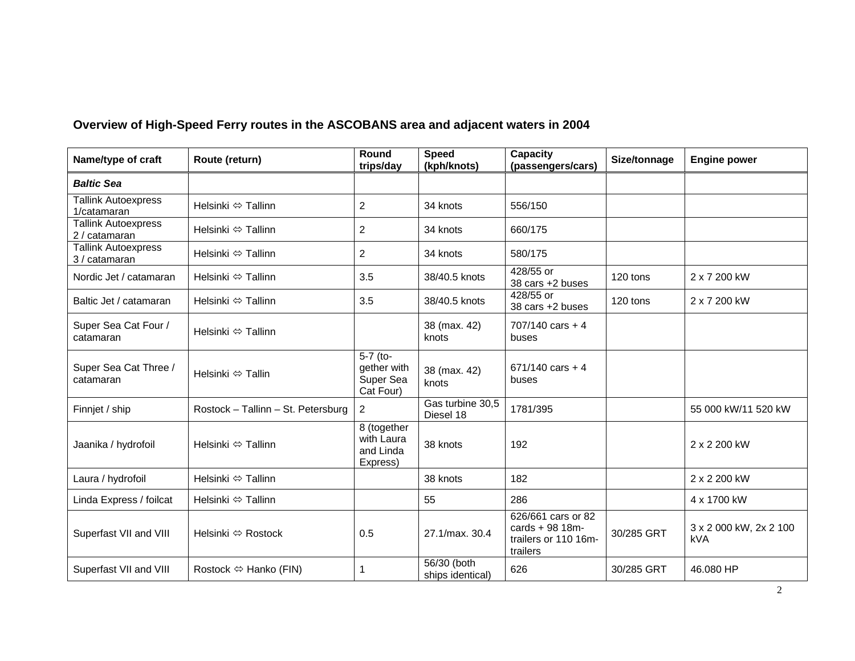| Name/type of craft                          | Route (return)                        | Round<br>trips/day                                 | <b>Speed</b><br>(kph/knots)     | Capacity<br>(passengers/cars)                                              | Size/tonnage | <b>Engine power</b>           |
|---------------------------------------------|---------------------------------------|----------------------------------------------------|---------------------------------|----------------------------------------------------------------------------|--------------|-------------------------------|
| <b>Baltic Sea</b>                           |                                       |                                                    |                                 |                                                                            |              |                               |
| <b>Tallink Autoexpress</b><br>1/catamaran   | Helsinki ⇔ Tallinn                    | $\overline{2}$                                     | 34 knots                        | 556/150                                                                    |              |                               |
| <b>Tallink Autoexpress</b><br>2 / catamaran | Helsinki ⇔ Tallinn                    | $\overline{2}$                                     | 34 knots                        | 660/175                                                                    |              |                               |
| <b>Tallink Autoexpress</b><br>3 / catamaran | Helsinki ⇔ Tallinn                    | $\overline{2}$                                     | 34 knots                        | 580/175                                                                    |              |                               |
| Nordic Jet / catamaran                      | Helsinki ⇔ Tallinn                    | 3.5                                                | 38/40.5 knots                   | 428/55 or<br>38 cars +2 buses                                              | 120 tons     | 2 x 7 200 kW                  |
| Baltic Jet / catamaran                      | Helsinki $\Leftrightarrow$ Tallinn    | 3.5                                                | 38/40.5 knots                   | $\overline{428/55}$ or<br>38 cars +2 buses                                 | 120 tons     | 2 x 7 200 kW                  |
| Super Sea Cat Four /<br>catamaran           | Helsinki ⇔ Tallinn                    |                                                    | 38 (max. 42)<br>knots           | $707/140$ cars + 4<br>buses                                                |              |                               |
| Super Sea Cat Three /<br>catamaran          | Helsinki ⇔ Tallin                     | 5-7 (to-<br>gether with<br>Super Sea<br>Cat Four)  | 38 (max. 42)<br>knots           | $671/140$ cars + 4<br>buses                                                |              |                               |
| Finnjet / ship                              | Rostock - Tallinn - St. Petersburg    | $\overline{2}$                                     | Gas turbine 30,5<br>Diesel 18   | 1781/395                                                                   |              | 55 000 kW/11 520 kW           |
| Jaanika / hydrofoil                         | Helsinki ⇔ Tallinn                    | 8 (together<br>with Laura<br>and Linda<br>Express) | 38 knots                        | 192                                                                        |              | 2 x 2 200 kW                  |
| Laura / hydrofoil                           | Helsinki ⇔ Tallinn                    |                                                    | 38 knots                        | 182                                                                        |              | 2 x 2 200 kW                  |
| Linda Express / foilcat                     | Helsinki ⇔ Tallinn                    |                                                    | 55                              | 286                                                                        |              | 4 x 1700 kW                   |
| Superfast VII and VIII                      | Helsinki ⇔ Rostock                    | 0.5                                                | 27.1/max. 30.4                  | 626/661 cars or 82<br>cards $+98$ 18m-<br>trailers or 110 16m-<br>trailers | 30/285 GRT   | 3 x 2 000 kW, 2x 2 100<br>kVA |
| Superfast VII and VIII                      | Rostock $\Leftrightarrow$ Hanko (FIN) | $\mathbf 1$                                        | 56/30 (both<br>ships identical) | 626                                                                        | 30/285 GRT   | 46.080 HP                     |

## **Overview of High-Speed Ferry routes in the ASCOBANS area and adjacent waters in 2004**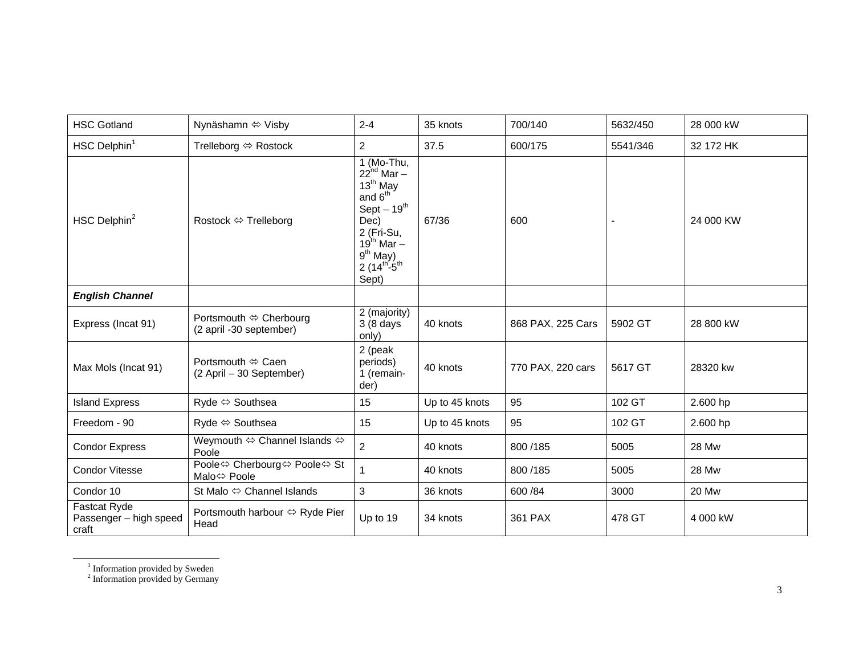| <b>HSC Gotland</b>                                     | Nynäshamn ⇔ Visby                                 | $2 - 4$                                                                                                                                                                                    | 35 knots       | 700/140           | 5632/450 | 28 000 kW    |
|--------------------------------------------------------|---------------------------------------------------|--------------------------------------------------------------------------------------------------------------------------------------------------------------------------------------------|----------------|-------------------|----------|--------------|
| HSC Delphin <sup>1</sup>                               | Trelleborg $\Leftrightarrow$ Rostock              | $\overline{2}$                                                                                                                                                                             | 37.5           | 600/175           | 5541/346 | 32 172 HK    |
| HSC Delphin <sup>2</sup>                               | Rostock ⇔ Trelleborg                              | 1 (Mo-Thu,<br>$22^{nd}$ Mar $-$<br>$13^{\text{th}}$ May<br>and $6th$<br>$Sept - 19th$<br>Dec)<br>2 (Fri-Su,<br>$19^{th}$ Mar –<br>$9th$ May)<br>$2(14^{\text{th}}-5^{\text{th}})$<br>Sept) | 67/36          | 600               |          | 24 000 KW    |
| <b>English Channel</b>                                 |                                                   |                                                                                                                                                                                            |                |                   |          |              |
| Express (Incat 91)                                     | Portsmouth ⇔ Cherbourg<br>(2 april -30 september) | 2 (majority)<br>3 (8 days<br>only)                                                                                                                                                         | 40 knots       | 868 PAX, 225 Cars | 5902 GT  | 28 800 kW    |
| Max Mols (Incat 91)                                    | Portsmouth ⇔ Caen<br>(2 April - 30 September)     | 2 (peak<br>periods)<br>1 (remain-<br>der)                                                                                                                                                  | 40 knots       | 770 PAX, 220 cars | 5617 GT  | 28320 kw     |
| <b>Island Express</b>                                  | Ryde ⇔ Southsea                                   | 15                                                                                                                                                                                         | Up to 45 knots | 95                | 102 GT   | 2.600 hp     |
| Freedom - 90                                           | Ryde ⇔ Southsea                                   | 15                                                                                                                                                                                         | Up to 45 knots | 95                | 102 GT   | 2.600 hp     |
| <b>Condor Express</b>                                  | Weymouth ⇔ Channel Islands ⇔<br>Poole             | $\overline{2}$                                                                                                                                                                             | 40 knots       | 800/185           | 5005     | <b>28 Mw</b> |
| <b>Condor Vitesse</b>                                  | Poole⇔ Cherbourg⇔ Poole⇔ St<br>Malo⇔ Poole        | $\mathbf{1}$                                                                                                                                                                               | 40 knots       | 800/185           | 5005     | <b>28 Mw</b> |
| Condor 10                                              | St Malo $\Leftrightarrow$ Channel Islands         | $\mathbf{3}$                                                                                                                                                                               | 36 knots       | 600 / 84          | 3000     | <b>20 Mw</b> |
| <b>Fastcat Ryde</b><br>Passenger - high speed<br>craft | Portsmouth harbour ⇔ Ryde Pier<br>Head            | Up to 19                                                                                                                                                                                   | 34 knots       | 361 PAX           | 478 GT   | 4 000 kW     |

<sup>1</sup> Information provided by Sweden

<sup>2</sup> Information provided by Germany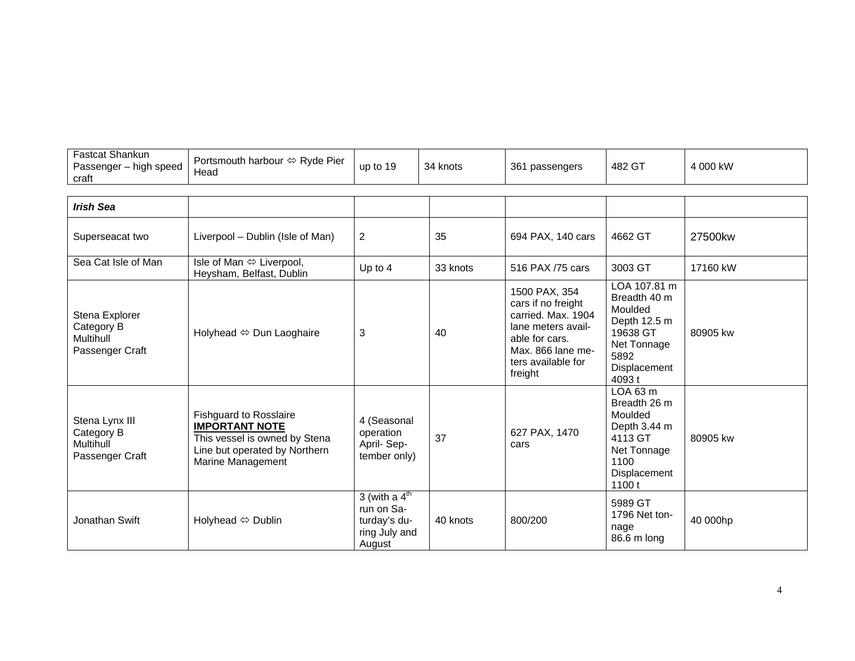| <sup>=</sup> astcat Shankun<br>high speed<br>Passenger<br>craft | Portsmouth harbour $\Leftrightarrow$ Ryde Pier<br>Head | up to 19 | -34<br>knots | 361<br>passengers | 482 GT | 4 000 kW |
|-----------------------------------------------------------------|--------------------------------------------------------|----------|--------------|-------------------|--------|----------|
|-----------------------------------------------------------------|--------------------------------------------------------|----------|--------------|-------------------|--------|----------|

| <b>Irish Sea</b>                                                    |                                                                                                                                               |                                                                                    |          |                                                                                                                                                         |                                                                                                                      |          |
|---------------------------------------------------------------------|-----------------------------------------------------------------------------------------------------------------------------------------------|------------------------------------------------------------------------------------|----------|---------------------------------------------------------------------------------------------------------------------------------------------------------|----------------------------------------------------------------------------------------------------------------------|----------|
| Superseacat two                                                     | Liverpool – Dublin (Isle of Man)                                                                                                              | 2                                                                                  | 35       | 694 PAX, 140 cars                                                                                                                                       | 4662 GT                                                                                                              | 27500kw  |
| Sea Cat Isle of Man                                                 | Isle of Man ⇔ Liverpool,<br>Heysham, Belfast, Dublin                                                                                          | Up to 4                                                                            | 33 knots | 516 PAX /75 cars                                                                                                                                        | 3003 GT                                                                                                              | 17160 kW |
| Stena Explorer<br>Category B<br><b>Multihull</b><br>Passenger Craft | Holyhead $\Leftrightarrow$ Dun Laoghaire                                                                                                      | 3                                                                                  | 40       | 1500 PAX, 354<br>cars if no freight<br>carried. Max. 1904<br>lane meters avail-<br>able for cars.<br>Max. 866 lane me-<br>ters available for<br>freight | LOA 107.81 m<br>Breadth 40 m<br>Moulded<br>Depth 12.5 m<br>19638 GT<br>Net Tonnage<br>5892<br>Displacement<br>4093 t | 80905 kw |
| Stena Lynx III<br>Category B<br><b>Multihull</b><br>Passenger Craft | <b>Fishguard to Rosslaire</b><br><b>IMPORTANT NOTE</b><br>This vessel is owned by Stena<br>Line but operated by Northern<br>Marine Management | 4 (Seasonal<br>operation<br>April-Sep-<br>tember only)                             | 37       | 627 PAX, 1470<br>cars                                                                                                                                   | LOA 63 m<br>Breadth 26 m<br>Moulded<br>Depth 3.44 m<br>4113 GT<br>Net Tonnage<br>1100<br>Displacement<br>1100t       | 80905 kw |
| Jonathan Swift                                                      | Holyhead ⇔ Dublin                                                                                                                             | 3 (with a $4^{\text{th}}$<br>run on Sa-<br>turday's du-<br>ring July and<br>August | 40 knots | 800/200                                                                                                                                                 | 5989 GT<br>1796 Net ton-<br>nage<br>86.6 m long                                                                      | 40 000hp |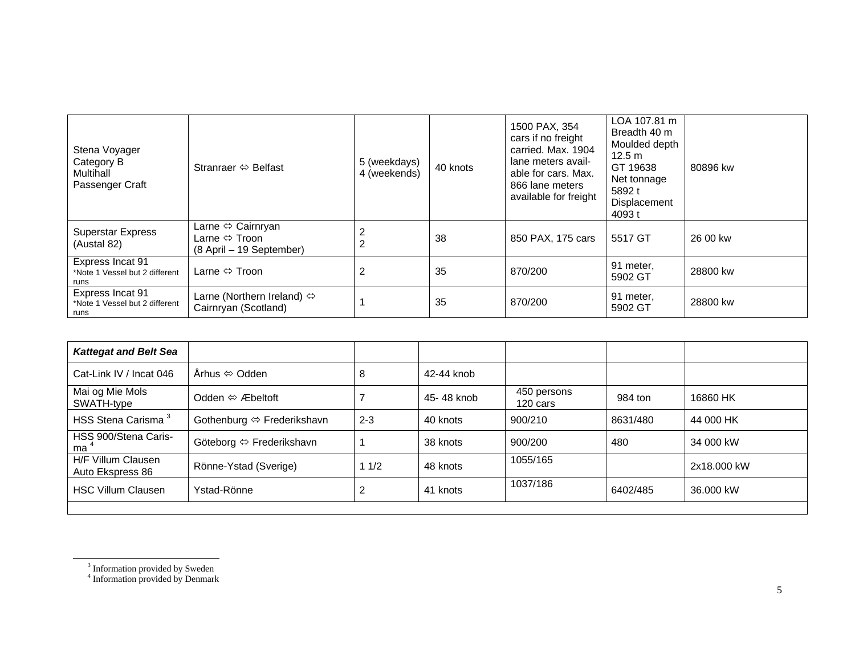| Stena Voyager<br>Category B<br>Multihall<br>Passenger Craft | Stranraer $\Leftrightarrow$ Belfast                                                            | 5 (weekdays)<br>4 (weekends) | 40 knots | 1500 PAX, 354<br>cars if no freight<br>carried. Max. 1904<br>lane meters avail-<br>able for cars. Max.<br>866 lane meters<br>available for freight | LOA 107.81 m<br>Breadth 40 m<br>Moulded depth<br>$12.5 \text{ m}$<br>GT 19638<br>Net tonnage<br>5892 t<br>Displacement<br>4093 t | 80896 kw |
|-------------------------------------------------------------|------------------------------------------------------------------------------------------------|------------------------------|----------|----------------------------------------------------------------------------------------------------------------------------------------------------|----------------------------------------------------------------------------------------------------------------------------------|----------|
| <b>Superstar Express</b><br>(Austal 82)                     | Larne $\Leftrightarrow$ Cairnryan<br>Larne $\Leftrightarrow$ Troon<br>(8 April – 19 September) | $\overline{2}$               | 38       | 850 PAX, 175 cars                                                                                                                                  | 5517 GT                                                                                                                          | 26 00 kw |
| Express Incat 91<br>*Note 1 Vessel but 2 different<br>runs  | Larne $\Leftrightarrow$ Troon                                                                  | 2                            | 35       | 870/200                                                                                                                                            | 91 meter,<br>5902 GT                                                                                                             | 28800 kw |
| Express Incat 91<br>*Note 1 Vessel but 2 different<br>runs  | Larne (Northern Ireland) $\Leftrightarrow$<br>Cairnryan (Scotland)                             |                              | 35       | 870/200                                                                                                                                            | 91 meter,<br>5902 GT                                                                                                             | 28800 kw |

| <b>Kattegat and Belt Sea</b>           |                                  |         |            |                         |          |             |
|----------------------------------------|----------------------------------|---------|------------|-------------------------|----------|-------------|
| Cat-Link IV / Incat 046                | Århus ⇔ Odden                    | 8       | 42-44 knob |                         |          |             |
| Mai og Mie Mols<br>SWATH-type          | Odden $\Leftrightarrow$ Æbeltoft |         | 45-48 knob | 450 persons<br>120 cars | 984 ton  | 16860 HK    |
| HSS Stena Carisma <sup>3</sup>         | Gothenburg ⇔ Frederikshavn       | $2 - 3$ | 40 knots   | 900/210                 | 8631/480 | 44 000 HK   |
| HSS 900/Stena Caris-<br>ma '           | Göteborg ⇔ Frederikshavn         |         | 38 knots   | 900/200                 | 480      | 34 000 kW   |
| H/F Villum Clausen<br>Auto Ekspress 86 | Rönne-Ystad (Sverige)            | 11/2    | 48 knots   | 1055/165                |          | 2x18,000 kW |
| <b>HSC Villum Clausen</b>              | Ystad-Rönne                      | 2       | 41 knots   | 1037/186                | 6402/485 | 36,000 kW   |
|                                        |                                  |         |            |                         |          |             |

<sup>&</sup>lt;sup>3</sup> Information provided by Sweden

<sup>&</sup>lt;sup>4</sup> Information provided by Denmark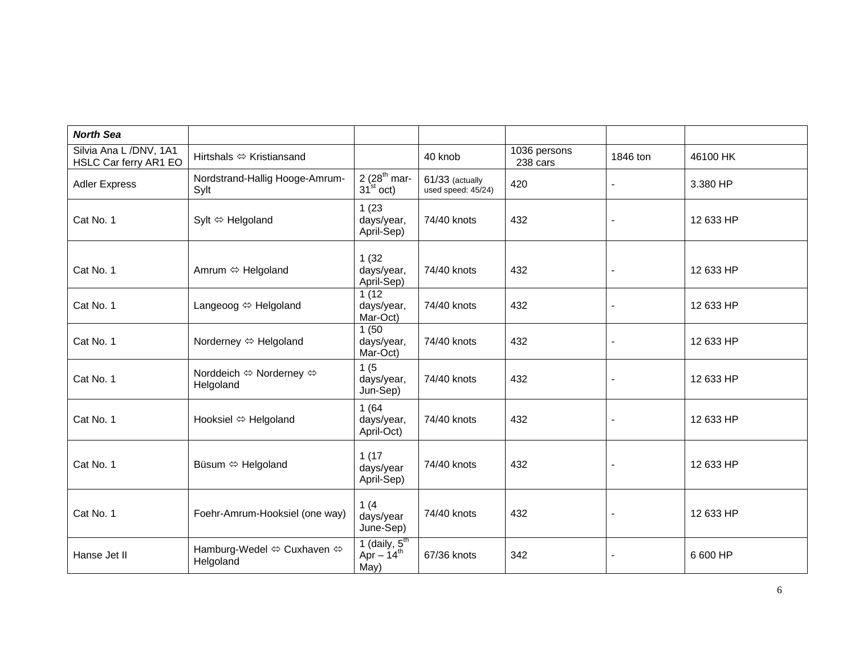| <b>North Sea</b>                                |                                          |                                           |                                       |                          |                |           |
|-------------------------------------------------|------------------------------------------|-------------------------------------------|---------------------------------------|--------------------------|----------------|-----------|
| Silvia Ana L /DNV, 1A1<br>HSLC Car ferry AR1 EO | Hirtshals $\Leftrightarrow$ Kristiansand |                                           | 40 knob                               | 1036 persons<br>238 cars | 1846 ton       | 46100 HK  |
| <b>Adler Express</b>                            | Nordstrand-Hallig Hooge-Amrum-<br>Sylt   | 2 $(28th$ mar-<br>$31^{\text{st}}$ oct)   | 61/33 (actually<br>used speed: 45/24) | 420                      |                | 3.380 HP  |
| Cat No. 1                                       | Sylt $\Leftrightarrow$ Helgoland         | 1(23)<br>days/year,<br>April-Sep)         | 74/40 knots                           | 432                      |                | 12 633 HP |
| Cat No. 1                                       | Amrum ⇔ Helgoland                        | 1(32)<br>days/year,<br>April-Sep)         | 74/40 knots                           | 432                      | $\blacksquare$ | 12 633 HP |
| Cat No. 1                                       | Langeoog ⇔ Helgoland                     | 1 $(12)$<br>days/year,<br>Mar-Oct)        | 74/40 knots                           | 432                      | $\blacksquare$ | 12 633 HP |
| Cat No. 1                                       | Norderney ⇔ Helgoland                    | 1(50)<br>days/year,<br>Mar-Oct)           | 74/40 knots                           | 432                      |                | 12 633 HP |
| Cat No. 1                                       | Norddeich ⇔ Norderney ⇔<br>Helgoland     | 1(5<br>days/year,<br>Jun-Sep)             | 74/40 knots                           | 432                      |                | 12 633 HP |
| Cat No. 1                                       | Hooksiel ⇔ Helgoland                     | 1(64)<br>days/year,<br>April-Oct)         | 74/40 knots                           | 432                      |                | 12 633 HP |
| Cat No. 1                                       | Büsum $\Leftrightarrow$ Helgoland        | 1(17)<br>days/year<br>April-Sep)          | 74/40 knots                           | 432                      |                | 12 633 HP |
| Cat No. 1                                       | Foehr-Amrum-Hooksiel (one way)           | 1(4)<br>days/year<br>June-Sep)            | 74/40 knots                           | 432                      |                | 12 633 HP |
| Hanse Jet II                                    | Hamburg-Wedel ⇔ Cuxhaven ⇔<br>Helgoland  | 1 (daily, $5th$<br>Apr $-14^{th}$<br>May) | 67/36 knots                           | 342                      |                | 6 600 HP  |